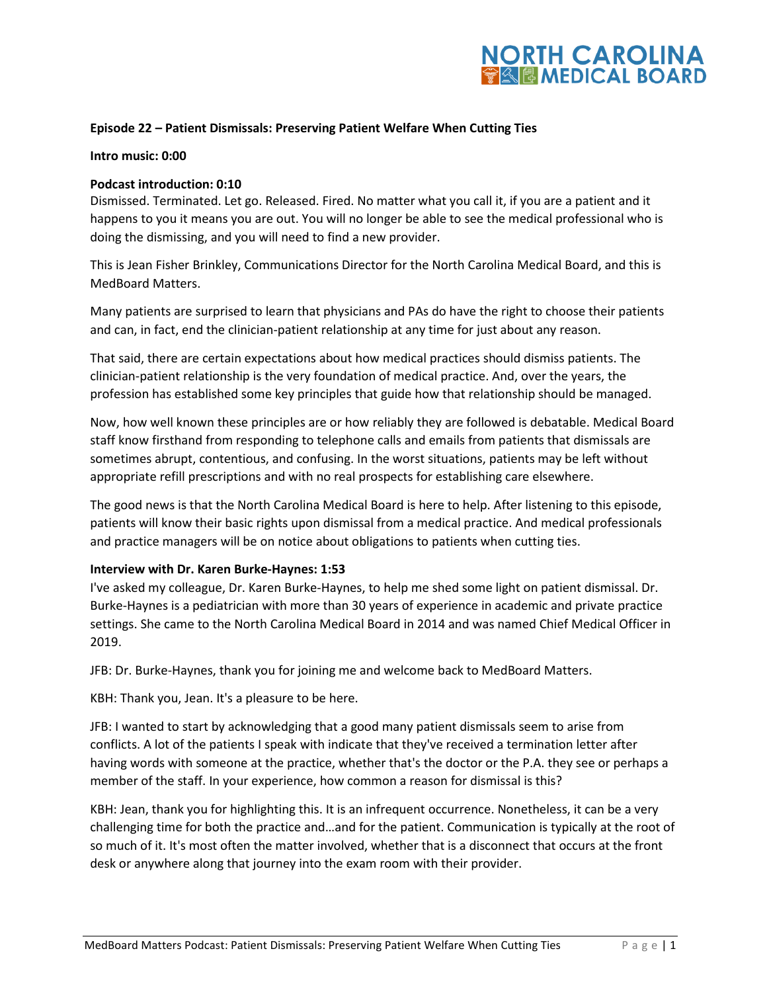### **Episode 22 – Patient Dismissals: Preserving Patient Welfare When Cutting Ties**

#### **Intro music: 0:00**

### **Podcast introduction: 0:10**

Dismissed. Terminated. Let go. Released. Fired. No matter what you call it, if you are a patient and it happens to you it means you are out. You will no longer be able to see the medical professional who is doing the dismissing, and you will need to find a new provider.

This is Jean Fisher Brinkley, Communications Director for the North Carolina Medical Board, and this is MedBoard Matters.

Many patients are surprised to learn that physicians and PAs do have the right to choose their patients and can, in fact, end the clinician-patient relationship at any time for just about any reason.

That said, there are certain expectations about how medical practices should dismiss patients. The clinician-patient relationship is the very foundation of medical practice. And, over the years, the profession has established some key principles that guide how that relationship should be managed.

Now, how well known these principles are or how reliably they are followed is debatable. Medical Board staff know firsthand from responding to telephone calls and emails from patients that dismissals are sometimes abrupt, contentious, and confusing. In the worst situations, patients may be left without appropriate refill prescriptions and with no real prospects for establishing care elsewhere.

The good news is that the North Carolina Medical Board is here to help. After listening to this episode, patients will know their basic rights upon dismissal from a medical practice. And medical professionals and practice managers will be on notice about obligations to patients when cutting ties.

#### **Interview with Dr. Karen Burke-Haynes: 1:53**

I've asked my colleague, Dr. Karen Burke-Haynes, to help me shed some light on patient dismissal. Dr. Burke-Haynes is a pediatrician with more than 30 years of experience in academic and private practice settings. She came to the North Carolina Medical Board in 2014 and was named Chief Medical Officer in 2019.

JFB: Dr. Burke-Haynes, thank you for joining me and welcome back to MedBoard Matters.

KBH: Thank you, Jean. It's a pleasure to be here.

JFB: I wanted to start by acknowledging that a good many patient dismissals seem to arise from conflicts. A lot of the patients I speak with indicate that they've received a termination letter after having words with someone at the practice, whether that's the doctor or the P.A. they see or perhaps a member of the staff. In your experience, how common a reason for dismissal is this?

KBH: Jean, thank you for highlighting this. It is an infrequent occurrence. Nonetheless, it can be a very challenging time for both the practice and…and for the patient. Communication is typically at the root of so much of it. It's most often the matter involved, whether that is a disconnect that occurs at the front desk or anywhere along that journey into the exam room with their provider.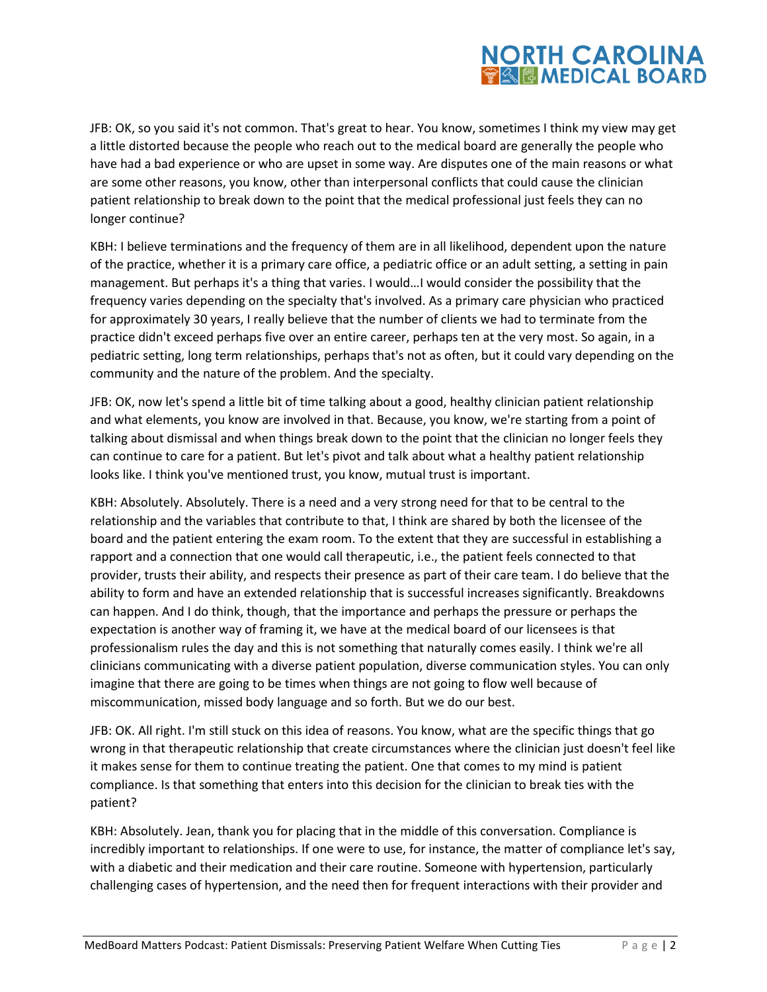### **NORTH CAROLINA TA EMEDICAL BOARD**

JFB: OK, so you said it's not common. That's great to hear. You know, sometimes I think my view may get a little distorted because the people who reach out to the medical board are generally the people who have had a bad experience or who are upset in some way. Are disputes one of the main reasons or what are some other reasons, you know, other than interpersonal conflicts that could cause the clinician patient relationship to break down to the point that the medical professional just feels they can no longer continue?

KBH: I believe terminations and the frequency of them are in all likelihood, dependent upon the nature of the practice, whether it is a primary care office, a pediatric office or an adult setting, a setting in pain management. But perhaps it's a thing that varies. I would…I would consider the possibility that the frequency varies depending on the specialty that's involved. As a primary care physician who practiced for approximately 30 years, I really believe that the number of clients we had to terminate from the practice didn't exceed perhaps five over an entire career, perhaps ten at the very most. So again, in a pediatric setting, long term relationships, perhaps that's not as often, but it could vary depending on the community and the nature of the problem. And the specialty.

JFB: OK, now let's spend a little bit of time talking about a good, healthy clinician patient relationship and what elements, you know are involved in that. Because, you know, we're starting from a point of talking about dismissal and when things break down to the point that the clinician no longer feels they can continue to care for a patient. But let's pivot and talk about what a healthy patient relationship looks like. I think you've mentioned trust, you know, mutual trust is important.

KBH: Absolutely. Absolutely. There is a need and a very strong need for that to be central to the relationship and the variables that contribute to that, I think are shared by both the licensee of the board and the patient entering the exam room. To the extent that they are successful in establishing a rapport and a connection that one would call therapeutic, i.e., the patient feels connected to that provider, trusts their ability, and respects their presence as part of their care team. I do believe that the ability to form and have an extended relationship that is successful increases significantly. Breakdowns can happen. And I do think, though, that the importance and perhaps the pressure or perhaps the expectation is another way of framing it, we have at the medical board of our licensees is that professionalism rules the day and this is not something that naturally comes easily. I think we're all clinicians communicating with a diverse patient population, diverse communication styles. You can only imagine that there are going to be times when things are not going to flow well because of miscommunication, missed body language and so forth. But we do our best.

JFB: OK. All right. I'm still stuck on this idea of reasons. You know, what are the specific things that go wrong in that therapeutic relationship that create circumstances where the clinician just doesn't feel like it makes sense for them to continue treating the patient. One that comes to my mind is patient compliance. Is that something that enters into this decision for the clinician to break ties with the patient?

KBH: Absolutely. Jean, thank you for placing that in the middle of this conversation. Compliance is incredibly important to relationships. If one were to use, for instance, the matter of compliance let's say, with a diabetic and their medication and their care routine. Someone with hypertension, particularly challenging cases of hypertension, and the need then for frequent interactions with their provider and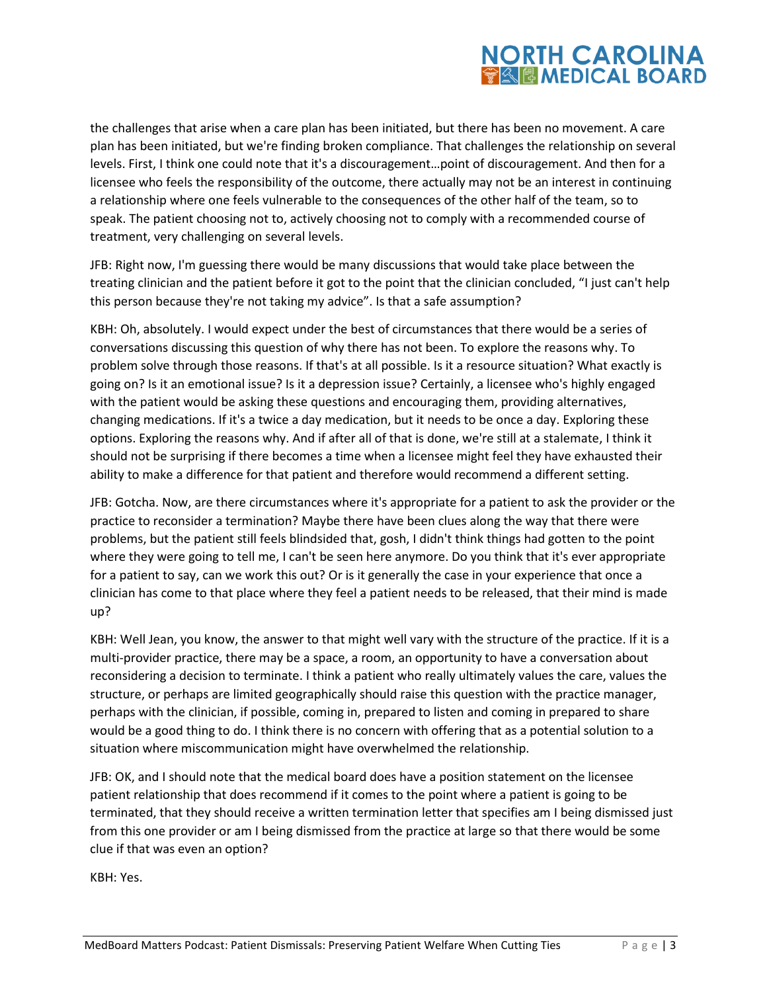the challenges that arise when a care plan has been initiated, but there has been no movement. A care plan has been initiated, but we're finding broken compliance. That challenges the relationship on several levels. First, I think one could note that it's a discouragement…point of discouragement. And then for a licensee who feels the responsibility of the outcome, there actually may not be an interest in continuing a relationship where one feels vulnerable to the consequences of the other half of the team, so to speak. The patient choosing not to, actively choosing not to comply with a recommended course of treatment, very challenging on several levels.

JFB: Right now, I'm guessing there would be many discussions that would take place between the treating clinician and the patient before it got to the point that the clinician concluded, "I just can't help this person because they're not taking my advice". Is that a safe assumption?

KBH: Oh, absolutely. I would expect under the best of circumstances that there would be a series of conversations discussing this question of why there has not been. To explore the reasons why. To problem solve through those reasons. If that's at all possible. Is it a resource situation? What exactly is going on? Is it an emotional issue? Is it a depression issue? Certainly, a licensee who's highly engaged with the patient would be asking these questions and encouraging them, providing alternatives, changing medications. If it's a twice a day medication, but it needs to be once a day. Exploring these options. Exploring the reasons why. And if after all of that is done, we're still at a stalemate, I think it should not be surprising if there becomes a time when a licensee might feel they have exhausted their ability to make a difference for that patient and therefore would recommend a different setting.

JFB: Gotcha. Now, are there circumstances where it's appropriate for a patient to ask the provider or the practice to reconsider a termination? Maybe there have been clues along the way that there were problems, but the patient still feels blindsided that, gosh, I didn't think things had gotten to the point where they were going to tell me, I can't be seen here anymore. Do you think that it's ever appropriate for a patient to say, can we work this out? Or is it generally the case in your experience that once a clinician has come to that place where they feel a patient needs to be released, that their mind is made up?

KBH: Well Jean, you know, the answer to that might well vary with the structure of the practice. If it is a multi-provider practice, there may be a space, a room, an opportunity to have a conversation about reconsidering a decision to terminate. I think a patient who really ultimately values the care, values the structure, or perhaps are limited geographically should raise this question with the practice manager, perhaps with the clinician, if possible, coming in, prepared to listen and coming in prepared to share would be a good thing to do. I think there is no concern with offering that as a potential solution to a situation where miscommunication might have overwhelmed the relationship.

JFB: OK, and I should note that the medical board does have a position statement on the licensee patient relationship that does recommend if it comes to the point where a patient is going to be terminated, that they should receive a written termination letter that specifies am I being dismissed just from this one provider or am I being dismissed from the practice at large so that there would be some clue if that was even an option?

KBH: Yes.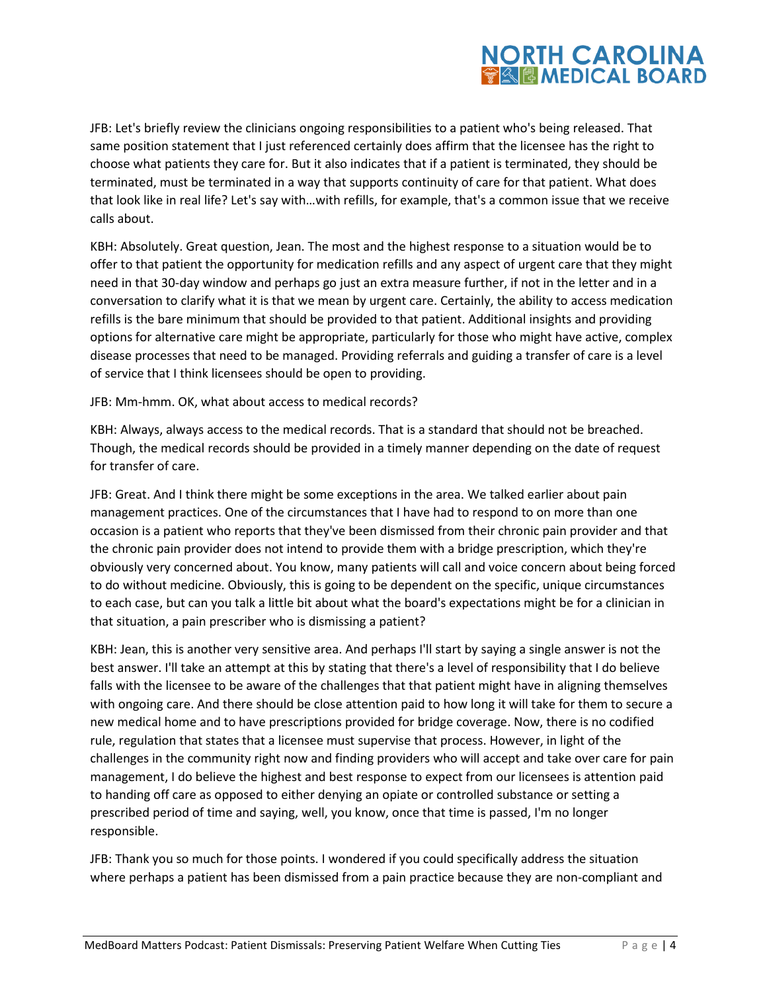JFB: Let's briefly review the clinicians ongoing responsibilities to a patient who's being released. That same position statement that I just referenced certainly does affirm that the licensee has the right to choose what patients they care for. But it also indicates that if a patient is terminated, they should be terminated, must be terminated in a way that supports continuity of care for that patient. What does that look like in real life? Let's say with…with refills, for example, that's a common issue that we receive calls about.

KBH: Absolutely. Great question, Jean. The most and the highest response to a situation would be to offer to that patient the opportunity for medication refills and any aspect of urgent care that they might need in that 30-day window and perhaps go just an extra measure further, if not in the letter and in a conversation to clarify what it is that we mean by urgent care. Certainly, the ability to access medication refills is the bare minimum that should be provided to that patient. Additional insights and providing options for alternative care might be appropriate, particularly for those who might have active, complex disease processes that need to be managed. Providing referrals and guiding a transfer of care is a level of service that I think licensees should be open to providing.

JFB: Mm-hmm. OK, what about access to medical records?

KBH: Always, always access to the medical records. That is a standard that should not be breached. Though, the medical records should be provided in a timely manner depending on the date of request for transfer of care.

JFB: Great. And I think there might be some exceptions in the area. We talked earlier about pain management practices. One of the circumstances that I have had to respond to on more than one occasion is a patient who reports that they've been dismissed from their chronic pain provider and that the chronic pain provider does not intend to provide them with a bridge prescription, which they're obviously very concerned about. You know, many patients will call and voice concern about being forced to do without medicine. Obviously, this is going to be dependent on the specific, unique circumstances to each case, but can you talk a little bit about what the board's expectations might be for a clinician in that situation, a pain prescriber who is dismissing a patient?

KBH: Jean, this is another very sensitive area. And perhaps I'll start by saying a single answer is not the best answer. I'll take an attempt at this by stating that there's a level of responsibility that I do believe falls with the licensee to be aware of the challenges that that patient might have in aligning themselves with ongoing care. And there should be close attention paid to how long it will take for them to secure a new medical home and to have prescriptions provided for bridge coverage. Now, there is no codified rule, regulation that states that a licensee must supervise that process. However, in light of the challenges in the community right now and finding providers who will accept and take over care for pain management, I do believe the highest and best response to expect from our licensees is attention paid to handing off care as opposed to either denying an opiate or controlled substance or setting a prescribed period of time and saying, well, you know, once that time is passed, I'm no longer responsible.

JFB: Thank you so much for those points. I wondered if you could specifically address the situation where perhaps a patient has been dismissed from a pain practice because they are non-compliant and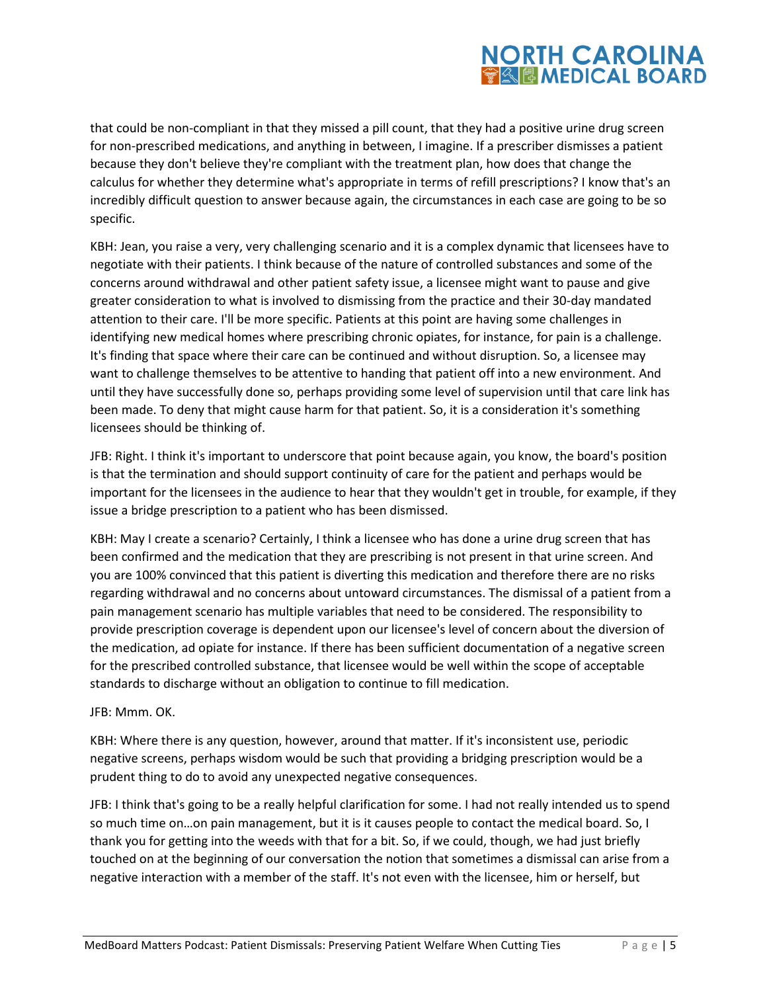that could be non-compliant in that they missed a pill count, that they had a positive urine drug screen for non-prescribed medications, and anything in between, I imagine. If a prescriber dismisses a patient because they don't believe they're compliant with the treatment plan, how does that change the calculus for whether they determine what's appropriate in terms of refill prescriptions? I know that's an incredibly difficult question to answer because again, the circumstances in each case are going to be so specific.

KBH: Jean, you raise a very, very challenging scenario and it is a complex dynamic that licensees have to negotiate with their patients. I think because of the nature of controlled substances and some of the concerns around withdrawal and other patient safety issue, a licensee might want to pause and give greater consideration to what is involved to dismissing from the practice and their 30-day mandated attention to their care. I'll be more specific. Patients at this point are having some challenges in identifying new medical homes where prescribing chronic opiates, for instance, for pain is a challenge. It's finding that space where their care can be continued and without disruption. So, a licensee may want to challenge themselves to be attentive to handing that patient off into a new environment. And until they have successfully done so, perhaps providing some level of supervision until that care link has been made. To deny that might cause harm for that patient. So, it is a consideration it's something licensees should be thinking of.

JFB: Right. I think it's important to underscore that point because again, you know, the board's position is that the termination and should support continuity of care for the patient and perhaps would be important for the licensees in the audience to hear that they wouldn't get in trouble, for example, if they issue a bridge prescription to a patient who has been dismissed.

KBH: May I create a scenario? Certainly, I think a licensee who has done a urine drug screen that has been confirmed and the medication that they are prescribing is not present in that urine screen. And you are 100% convinced that this patient is diverting this medication and therefore there are no risks regarding withdrawal and no concerns about untoward circumstances. The dismissal of a patient from a pain management scenario has multiple variables that need to be considered. The responsibility to provide prescription coverage is dependent upon our licensee's level of concern about the diversion of the medication, ad opiate for instance. If there has been sufficient documentation of a negative screen for the prescribed controlled substance, that licensee would be well within the scope of acceptable standards to discharge without an obligation to continue to fill medication.

### JFB: Mmm. OK.

KBH: Where there is any question, however, around that matter. If it's inconsistent use, periodic negative screens, perhaps wisdom would be such that providing a bridging prescription would be a prudent thing to do to avoid any unexpected negative consequences.

JFB: I think that's going to be a really helpful clarification for some. I had not really intended us to spend so much time on…on pain management, but it is it causes people to contact the medical board. So, I thank you for getting into the weeds with that for a bit. So, if we could, though, we had just briefly touched on at the beginning of our conversation the notion that sometimes a dismissal can arise from a negative interaction with a member of the staff. It's not even with the licensee, him or herself, but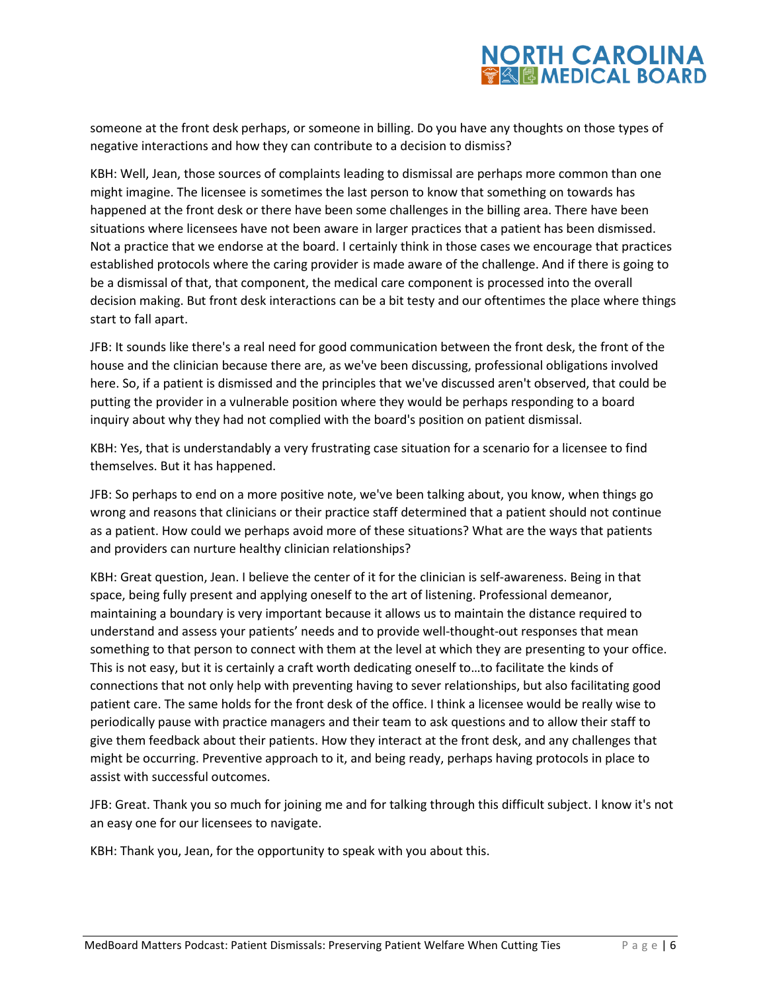

someone at the front desk perhaps, or someone in billing. Do you have any thoughts on those types of negative interactions and how they can contribute to a decision to dismiss?

KBH: Well, Jean, those sources of complaints leading to dismissal are perhaps more common than one might imagine. The licensee is sometimes the last person to know that something on towards has happened at the front desk or there have been some challenges in the billing area. There have been situations where licensees have not been aware in larger practices that a patient has been dismissed. Not a practice that we endorse at the board. I certainly think in those cases we encourage that practices established protocols where the caring provider is made aware of the challenge. And if there is going to be a dismissal of that, that component, the medical care component is processed into the overall decision making. But front desk interactions can be a bit testy and our oftentimes the place where things start to fall apart.

JFB: It sounds like there's a real need for good communication between the front desk, the front of the house and the clinician because there are, as we've been discussing, professional obligations involved here. So, if a patient is dismissed and the principles that we've discussed aren't observed, that could be putting the provider in a vulnerable position where they would be perhaps responding to a board inquiry about why they had not complied with the board's position on patient dismissal.

KBH: Yes, that is understandably a very frustrating case situation for a scenario for a licensee to find themselves. But it has happened.

JFB: So perhaps to end on a more positive note, we've been talking about, you know, when things go wrong and reasons that clinicians or their practice staff determined that a patient should not continue as a patient. How could we perhaps avoid more of these situations? What are the ways that patients and providers can nurture healthy clinician relationships?

KBH: Great question, Jean. I believe the center of it for the clinician is self-awareness. Being in that space, being fully present and applying oneself to the art of listening. Professional demeanor, maintaining a boundary is very important because it allows us to maintain the distance required to understand and assess your patients' needs and to provide well-thought-out responses that mean something to that person to connect with them at the level at which they are presenting to your office. This is not easy, but it is certainly a craft worth dedicating oneself to…to facilitate the kinds of connections that not only help with preventing having to sever relationships, but also facilitating good patient care. The same holds for the front desk of the office. I think a licensee would be really wise to periodically pause with practice managers and their team to ask questions and to allow their staff to give them feedback about their patients. How they interact at the front desk, and any challenges that might be occurring. Preventive approach to it, and being ready, perhaps having protocols in place to assist with successful outcomes.

JFB: Great. Thank you so much for joining me and for talking through this difficult subject. I know it's not an easy one for our licensees to navigate.

KBH: Thank you, Jean, for the opportunity to speak with you about this.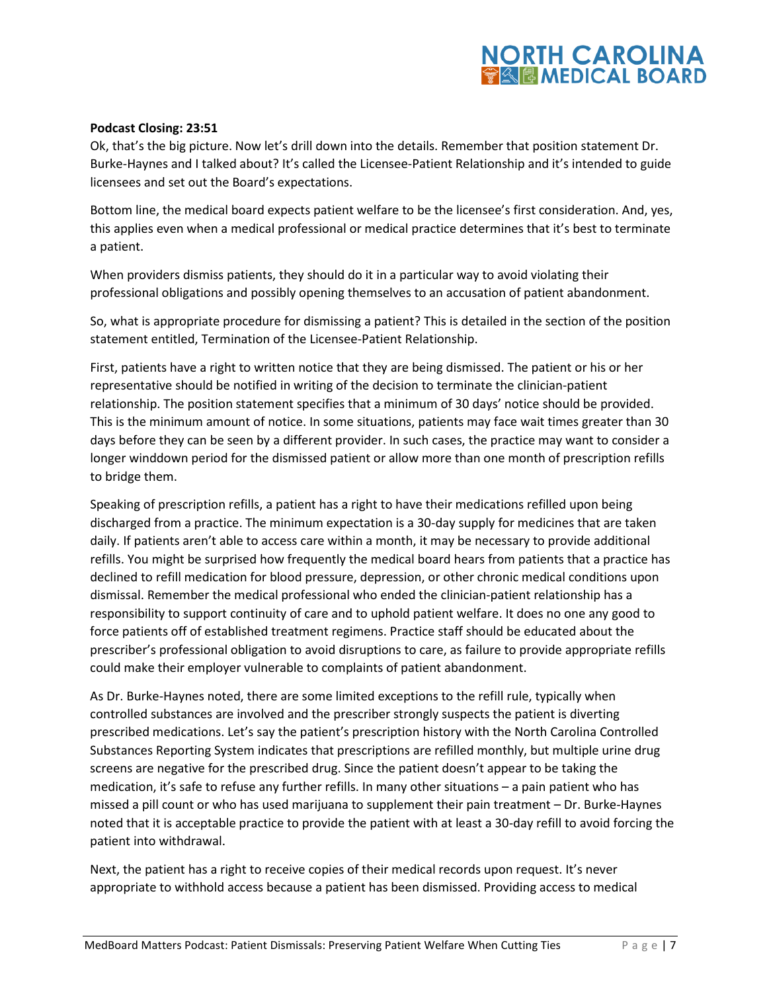#### **Podcast Closing: 23:51**

Ok, that's the big picture. Now let's drill down into the details. Remember that position statement Dr. Burke-Haynes and I talked about? It's called the Licensee-Patient Relationship and it's intended to guide licensees and set out the Board's expectations.

Bottom line, the medical board expects patient welfare to be the licensee's first consideration. And, yes, this applies even when a medical professional or medical practice determines that it's best to terminate a patient.

When providers dismiss patients, they should do it in a particular way to avoid violating their professional obligations and possibly opening themselves to an accusation of patient abandonment.

So, what is appropriate procedure for dismissing a patient? This is detailed in the section of the position statement entitled, Termination of the Licensee-Patient Relationship.

First, patients have a right to written notice that they are being dismissed. The patient or his or her representative should be notified in writing of the decision to terminate the clinician-patient relationship. The position statement specifies that a minimum of 30 days' notice should be provided. This is the minimum amount of notice. In some situations, patients may face wait times greater than 30 days before they can be seen by a different provider. In such cases, the practice may want to consider a longer winddown period for the dismissed patient or allow more than one month of prescription refills to bridge them.

Speaking of prescription refills, a patient has a right to have their medications refilled upon being discharged from a practice. The minimum expectation is a 30-day supply for medicines that are taken daily. If patients aren't able to access care within a month, it may be necessary to provide additional refills. You might be surprised how frequently the medical board hears from patients that a practice has declined to refill medication for blood pressure, depression, or other chronic medical conditions upon dismissal. Remember the medical professional who ended the clinician-patient relationship has a responsibility to support continuity of care and to uphold patient welfare. It does no one any good to force patients off of established treatment regimens. Practice staff should be educated about the prescriber's professional obligation to avoid disruptions to care, as failure to provide appropriate refills could make their employer vulnerable to complaints of patient abandonment.

As Dr. Burke-Haynes noted, there are some limited exceptions to the refill rule, typically when controlled substances are involved and the prescriber strongly suspects the patient is diverting prescribed medications. Let's say the patient's prescription history with the North Carolina Controlled Substances Reporting System indicates that prescriptions are refilled monthly, but multiple urine drug screens are negative for the prescribed drug. Since the patient doesn't appear to be taking the medication, it's safe to refuse any further refills. In many other situations – a pain patient who has missed a pill count or who has used marijuana to supplement their pain treatment – Dr. Burke-Haynes noted that it is acceptable practice to provide the patient with at least a 30-day refill to avoid forcing the patient into withdrawal.

Next, the patient has a right to receive copies of their medical records upon request. It's never appropriate to withhold access because a patient has been dismissed. Providing access to medical